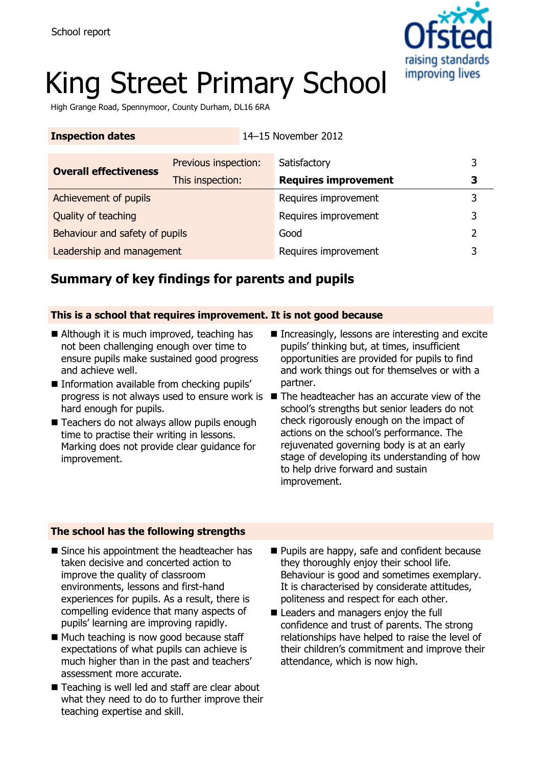

# King Street Primary School

**Inspection dates** 14–15 November 2012

High Grange Road, Spennymoor, County Durham, DL16 6RA

| <b>Overall effectiveness</b>   | Previous inspection: | Satisfactory                | 3 |
|--------------------------------|----------------------|-----------------------------|---|
|                                | This inspection:     | <b>Requires improvement</b> |   |
| Achievement of pupils          |                      | Requires improvement        | 3 |
| Quality of teaching            |                      | Requires improvement        | 3 |
| Behaviour and safety of pupils |                      | Good                        | າ |
| Leadership and management      |                      | Requires improvement        | 3 |

# **Summary of key findings for parents and pupils**

#### **This is a school that requires improvement. It is not good because**

- Although it is much improved, teaching has not been challenging enough over time to ensure pupils make sustained good progress and achieve well.
- **Information available from checking pupils'** hard enough for pupils.
- Teachers do not always allow pupils enough time to practise their writing in lessons. Marking does not provide clear guidance for improvement.
- Increasingly, lessons are interesting and excite pupils' thinking but, at times, insufficient opportunities are provided for pupils to find and work things out for themselves or with a partner.
- progress is not always used to ensure work is The headteacher has an accurate view of the school's strengths but senior leaders do not check rigorously enough on the impact of actions on the school's performance. The rejuvenated governing body is at an early stage of developing its understanding of how to help drive forward and sustain improvement.

### **The school has the following strengths**

- Since his appointment the headteacher has taken decisive and concerted action to improve the quality of classroom environments, lessons and first-hand experiences for pupils. As a result, there is compelling evidence that many aspects of pupils' learning are improving rapidly.
- Much teaching is now good because staff expectations of what pupils can achieve is much higher than in the past and teachers' assessment more accurate.
- Teaching is well led and staff are clear about what they need to do to further improve their teaching expertise and skill.
- **Pupils are happy, safe and confident because** they thoroughly enjoy their school life. Behaviour is good and sometimes exemplary. It is characterised by considerate attitudes, politeness and respect for each other.
- Leaders and managers enjoy the full confidence and trust of parents. The strong relationships have helped to raise the level of their children's commitment and improve their attendance, which is now high.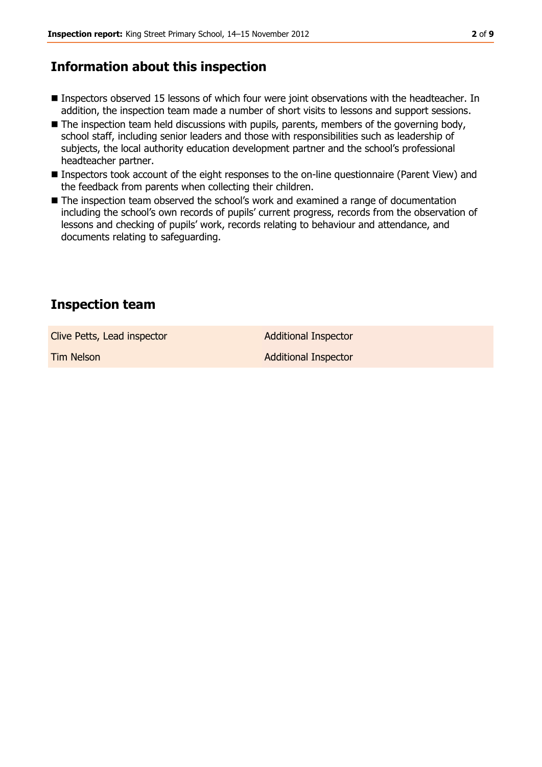# **Information about this inspection**

- **Inspectors observed 15 lessons of which four were joint observations with the headteacher. In** addition, the inspection team made a number of short visits to lessons and support sessions.
- The inspection team held discussions with pupils, parents, members of the governing body, school staff, including senior leaders and those with responsibilities such as leadership of subjects, the local authority education development partner and the school's professional headteacher partner.
- Inspectors took account of the eight responses to the on-line questionnaire (Parent View) and the feedback from parents when collecting their children.
- The inspection team observed the school's work and examined a range of documentation including the school's own records of pupils' current progress, records from the observation of lessons and checking of pupils' work, records relating to behaviour and attendance, and documents relating to safeguarding.

# **Inspection team**

Clive Petts, Lead inspector and a set of Additional Inspector

**Tim Nelson Additional Inspector**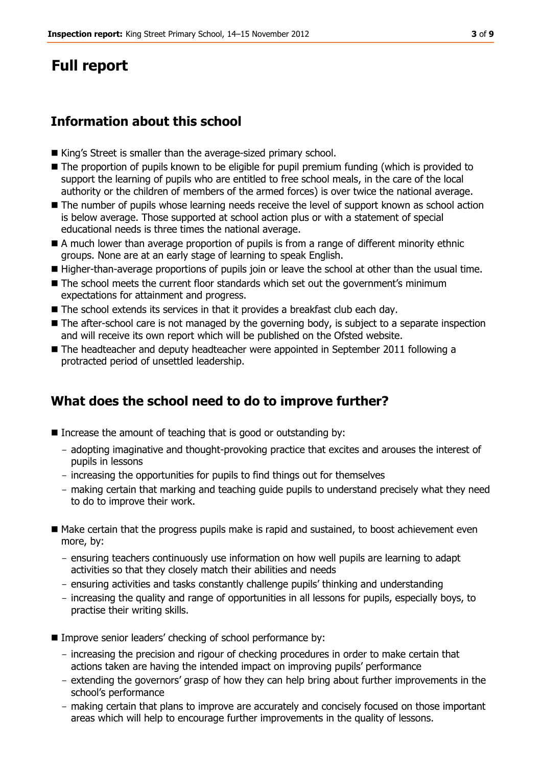# **Full report**

# **Information about this school**

- King's Street is smaller than the average-sized primary school.
- The proportion of pupils known to be eligible for pupil premium funding (which is provided to support the learning of pupils who are entitled to free school meals, in the care of the local authority or the children of members of the armed forces) is over twice the national average.
- The number of pupils whose learning needs receive the level of support known as school action is below average. Those supported at school action plus or with a statement of special educational needs is three times the national average.
- A much lower than average proportion of pupils is from a range of different minority ethnic groups. None are at an early stage of learning to speak English.
- Higher-than-average proportions of pupils join or leave the school at other than the usual time.
- The school meets the current floor standards which set out the government's minimum expectations for attainment and progress.
- The school extends its services in that it provides a breakfast club each day.
- The after-school care is not managed by the governing body, is subject to a separate inspection and will receive its own report which will be published on the Ofsted website.
- The headteacher and deputy headteacher were appointed in September 2011 following a protracted period of unsettled leadership.

# **What does the school need to do to improve further?**

- Increase the amount of teaching that is good or outstanding by:
	- adopting imaginative and thought-provoking practice that excites and arouses the interest of pupils in lessons
	- increasing the opportunities for pupils to find things out for themselves
	- making certain that marking and teaching guide pupils to understand precisely what they need to do to improve their work.
- Make certain that the progress pupils make is rapid and sustained, to boost achievement even more, by:
	- ensuring teachers continuously use information on how well pupils are learning to adapt activities so that they closely match their abilities and needs
	- ensuring activities and tasks constantly challenge pupils' thinking and understanding
	- increasing the quality and range of opportunities in all lessons for pupils, especially boys, to practise their writing skills.
- Improve senior leaders' checking of school performance by:
	- increasing the precision and rigour of checking procedures in order to make certain that actions taken are having the intended impact on improving pupils' performance
	- extending the governors' grasp of how they can help bring about further improvements in the school's performance
	- making certain that plans to improve are accurately and concisely focused on those important areas which will help to encourage further improvements in the quality of lessons.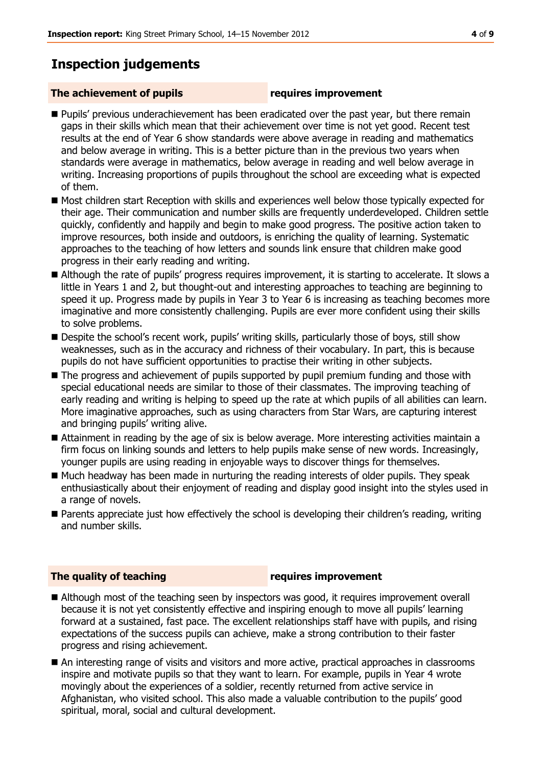# **Inspection judgements**

#### **The achievement of pupils requires improvement**

- Pupils' previous underachievement has been eradicated over the past year, but there remain gaps in their skills which mean that their achievement over time is not yet good. Recent test results at the end of Year 6 show standards were above average in reading and mathematics and below average in writing. This is a better picture than in the previous two years when standards were average in mathematics, below average in reading and well below average in writing. Increasing proportions of pupils throughout the school are exceeding what is expected of them.
- Most children start Reception with skills and experiences well below those typically expected for their age. Their communication and number skills are frequently underdeveloped. Children settle quickly, confidently and happily and begin to make good progress. The positive action taken to improve resources, both inside and outdoors, is enriching the quality of learning. Systematic approaches to the teaching of how letters and sounds link ensure that children make good progress in their early reading and writing.
- Although the rate of pupils' progress requires improvement, it is starting to accelerate. It slows a little in Years 1 and 2, but thought-out and interesting approaches to teaching are beginning to speed it up. Progress made by pupils in Year 3 to Year 6 is increasing as teaching becomes more imaginative and more consistently challenging. Pupils are ever more confident using their skills to solve problems.
- **Despite the school's recent work, pupils' writing skills, particularly those of boys, still show** weaknesses, such as in the accuracy and richness of their vocabulary. In part, this is because pupils do not have sufficient opportunities to practise their writing in other subjects.
- The progress and achievement of pupils supported by pupil premium funding and those with special educational needs are similar to those of their classmates. The improving teaching of early reading and writing is helping to speed up the rate at which pupils of all abilities can learn. More imaginative approaches, such as using characters from Star Wars, are capturing interest and bringing pupils' writing alive.
- Attainment in reading by the age of six is below average. More interesting activities maintain a firm focus on linking sounds and letters to help pupils make sense of new words. Increasingly, younger pupils are using reading in enjoyable ways to discover things for themselves.
- Much headway has been made in nurturing the reading interests of older pupils. They speak enthusiastically about their enjoyment of reading and display good insight into the styles used in a range of novels.
- Parents appreciate just how effectively the school is developing their children's reading, writing and number skills.

### **The quality of teaching requires improvement**

- Although most of the teaching seen by inspectors was good, it requires improvement overall because it is not yet consistently effective and inspiring enough to move all pupils' learning forward at a sustained, fast pace. The excellent relationships staff have with pupils, and rising expectations of the success pupils can achieve, make a strong contribution to their faster progress and rising achievement.
- An interesting range of visits and visitors and more active, practical approaches in classrooms inspire and motivate pupils so that they want to learn. For example, pupils in Year 4 wrote movingly about the experiences of a soldier, recently returned from active service in Afghanistan, who visited school. This also made a valuable contribution to the pupils' good spiritual, moral, social and cultural development.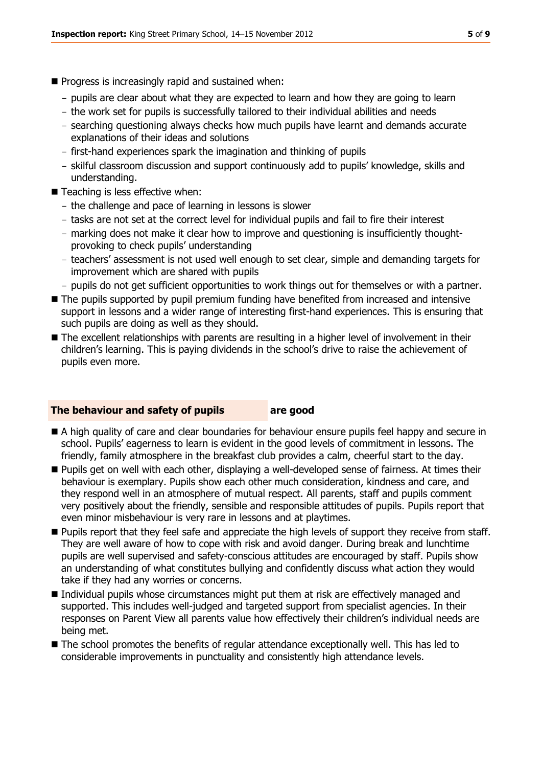- $\blacksquare$  Progress is increasingly rapid and sustained when:
	- pupils are clear about what they are expected to learn and how they are going to learn
	- the work set for pupils is successfully tailored to their individual abilities and needs
	- searching questioning always checks how much pupils have learnt and demands accurate explanations of their ideas and solutions
	- first-hand experiences spark the imagination and thinking of pupils
	- skilful classroom discussion and support continuously add to pupils' knowledge, skills and understanding.
- Teaching is less effective when:
	- the challenge and pace of learning in lessons is slower
	- tasks are not set at the correct level for individual pupils and fail to fire their interest
	- marking does not make it clear how to improve and questioning is insufficiently thoughtprovoking to check pupils' understanding
	- teachers' assessment is not used well enough to set clear, simple and demanding targets for improvement which are shared with pupils
	- pupils do not get sufficient opportunities to work things out for themselves or with a partner.
- The pupils supported by pupil premium funding have benefited from increased and intensive support in lessons and a wider range of interesting first-hand experiences. This is ensuring that such pupils are doing as well as they should.
- The excellent relationships with parents are resulting in a higher level of involvement in their children's learning. This is paying dividends in the school's drive to raise the achievement of pupils even more.

#### **The behaviour and safety of pupils are good**

- A high quality of care and clear boundaries for behaviour ensure pupils feel happy and secure in school. Pupils' eagerness to learn is evident in the good levels of commitment in lessons. The friendly, family atmosphere in the breakfast club provides a calm, cheerful start to the day.
- Pupils get on well with each other, displaying a well-developed sense of fairness. At times their behaviour is exemplary. Pupils show each other much consideration, kindness and care, and they respond well in an atmosphere of mutual respect. All parents, staff and pupils comment very positively about the friendly, sensible and responsible attitudes of pupils. Pupils report that even minor misbehaviour is very rare in lessons and at playtimes.
- **Pupils report that they feel safe and appreciate the high levels of support they receive from staff.** They are well aware of how to cope with risk and avoid danger. During break and lunchtime pupils are well supervised and safety-conscious attitudes are encouraged by staff. Pupils show an understanding of what constitutes bullying and confidently discuss what action they would take if they had any worries or concerns.
- Individual pupils whose circumstances might put them at risk are effectively managed and supported. This includes well-judged and targeted support from specialist agencies. In their responses on Parent View all parents value how effectively their children's individual needs are being met.
- $\blacksquare$  The school promotes the benefits of regular attendance exceptionally well. This has led to considerable improvements in punctuality and consistently high attendance levels.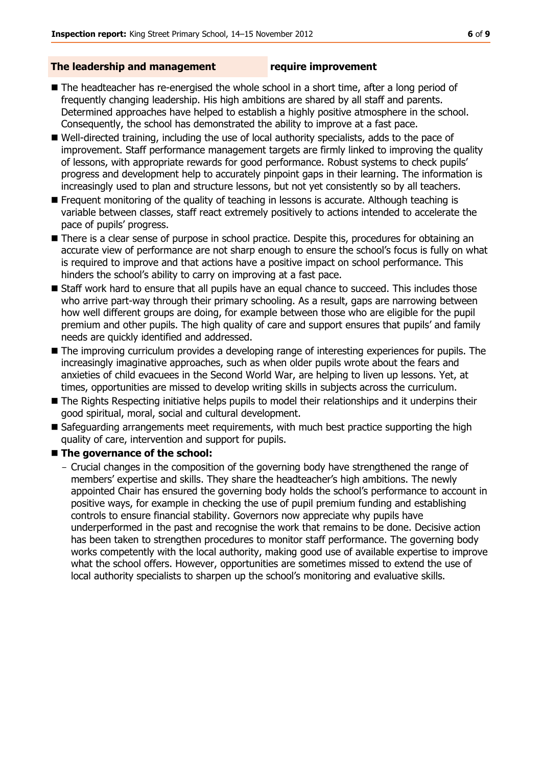#### **The leadership and management require improvement**

- The headteacher has re-energised the whole school in a short time, after a long period of frequently changing leadership. His high ambitions are shared by all staff and parents. Determined approaches have helped to establish a highly positive atmosphere in the school. Consequently, the school has demonstrated the ability to improve at a fast pace.
- Well-directed training, including the use of local authority specialists, adds to the pace of improvement. Staff performance management targets are firmly linked to improving the quality of lessons, with appropriate rewards for good performance. Robust systems to check pupils' progress and development help to accurately pinpoint gaps in their learning. The information is increasingly used to plan and structure lessons, but not yet consistently so by all teachers.
- **Frequent monitoring of the quality of teaching in lessons is accurate. Although teaching is** variable between classes, staff react extremely positively to actions intended to accelerate the pace of pupils' progress.
- There is a clear sense of purpose in school practice. Despite this, procedures for obtaining an accurate view of performance are not sharp enough to ensure the school's focus is fully on what is required to improve and that actions have a positive impact on school performance. This hinders the school's ability to carry on improving at a fast pace.
- **Staff work hard to ensure that all pupils have an equal chance to succeed. This includes those** who arrive part-way through their primary schooling. As a result, gaps are narrowing between how well different groups are doing, for example between those who are eligible for the pupil premium and other pupils. The high quality of care and support ensures that pupils' and family needs are quickly identified and addressed.
- The improving curriculum provides a developing range of interesting experiences for pupils. The increasingly imaginative approaches, such as when older pupils wrote about the fears and anxieties of child evacuees in the Second World War, are helping to liven up lessons. Yet, at times, opportunities are missed to develop writing skills in subjects across the curriculum.
- The Rights Respecting initiative helps pupils to model their relationships and it underpins their good spiritual, moral, social and cultural development.
- Safeguarding arrangements meet requirements, with much best practice supporting the high quality of care, intervention and support for pupils.

#### ■ The governance of the school:

- Crucial changes in the composition of the governing body have strengthened the range of members' expertise and skills. They share the headteacher's high ambitions. The newly appointed Chair has ensured the governing body holds the school's performance to account in positive ways, for example in checking the use of pupil premium funding and establishing controls to ensure financial stability. Governors now appreciate why pupils have underperformed in the past and recognise the work that remains to be done. Decisive action has been taken to strengthen procedures to monitor staff performance. The governing body works competently with the local authority, making good use of available expertise to improve what the school offers. However, opportunities are sometimes missed to extend the use of local authority specialists to sharpen up the school's monitoring and evaluative skills.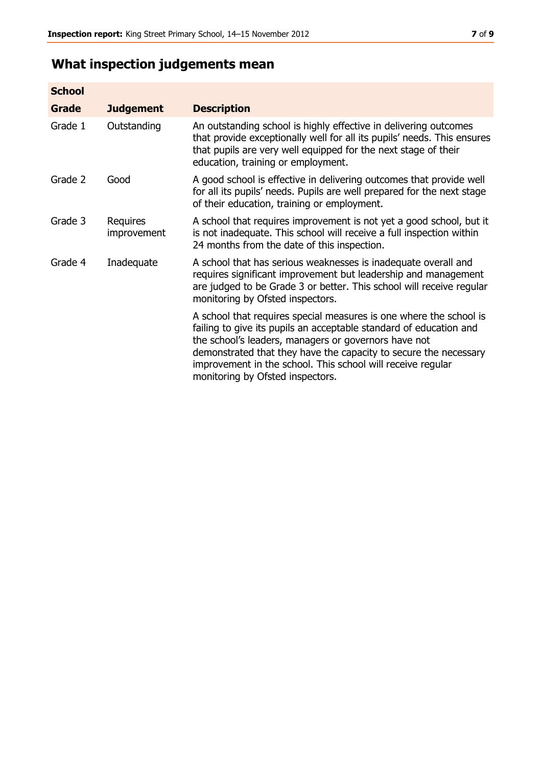# **What inspection judgements mean**

| <b>School</b> |                         |                                                                                                                                                                                                                                                                                                                                                                         |
|---------------|-------------------------|-------------------------------------------------------------------------------------------------------------------------------------------------------------------------------------------------------------------------------------------------------------------------------------------------------------------------------------------------------------------------|
| Grade         | <b>Judgement</b>        | <b>Description</b>                                                                                                                                                                                                                                                                                                                                                      |
| Grade 1       | Outstanding             | An outstanding school is highly effective in delivering outcomes<br>that provide exceptionally well for all its pupils' needs. This ensures<br>that pupils are very well equipped for the next stage of their<br>education, training or employment.                                                                                                                     |
| Grade 2       | Good                    | A good school is effective in delivering outcomes that provide well<br>for all its pupils' needs. Pupils are well prepared for the next stage<br>of their education, training or employment.                                                                                                                                                                            |
| Grade 3       | Requires<br>improvement | A school that requires improvement is not yet a good school, but it<br>is not inadequate. This school will receive a full inspection within<br>24 months from the date of this inspection.                                                                                                                                                                              |
| Grade 4       | Inadequate              | A school that has serious weaknesses is inadequate overall and<br>requires significant improvement but leadership and management<br>are judged to be Grade 3 or better. This school will receive regular<br>monitoring by Ofsted inspectors.                                                                                                                            |
|               |                         | A school that requires special measures is one where the school is<br>failing to give its pupils an acceptable standard of education and<br>the school's leaders, managers or governors have not<br>demonstrated that they have the capacity to secure the necessary<br>improvement in the school. This school will receive regular<br>monitoring by Ofsted inspectors. |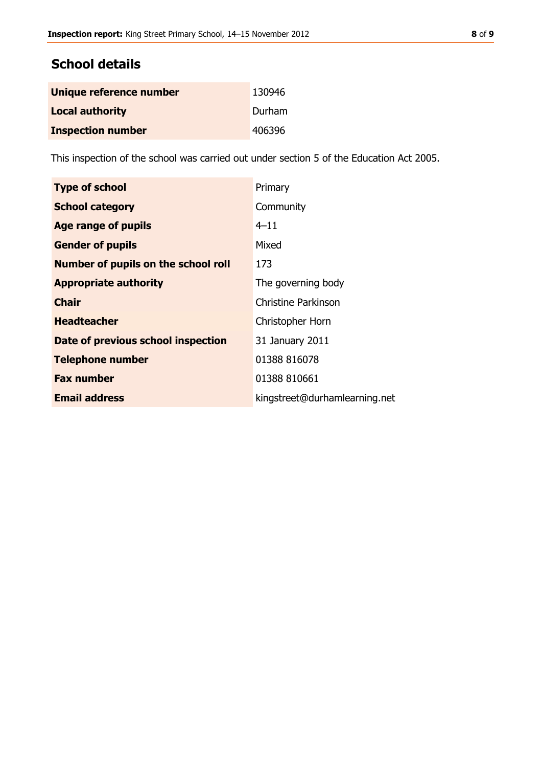# **School details**

| Unique reference number  | 130946 |
|--------------------------|--------|
| <b>Local authority</b>   | Durham |
| <b>Inspection number</b> | 406396 |

This inspection of the school was carried out under section 5 of the Education Act 2005.

| <b>Type of school</b>                      | Primary                       |
|--------------------------------------------|-------------------------------|
| <b>School category</b>                     | Community                     |
| Age range of pupils                        | $4 - 11$                      |
| <b>Gender of pupils</b>                    | Mixed                         |
| <b>Number of pupils on the school roll</b> | 173                           |
| <b>Appropriate authority</b>               | The governing body            |
| <b>Chair</b>                               | Christine Parkinson           |
| <b>Headteacher</b>                         | Christopher Horn              |
| Date of previous school inspection         | 31 January 2011               |
| <b>Telephone number</b>                    | 01388 816078                  |
| <b>Fax number</b>                          | 01388 810661                  |
| <b>Email address</b>                       | kingstreet@durhamlearning.net |